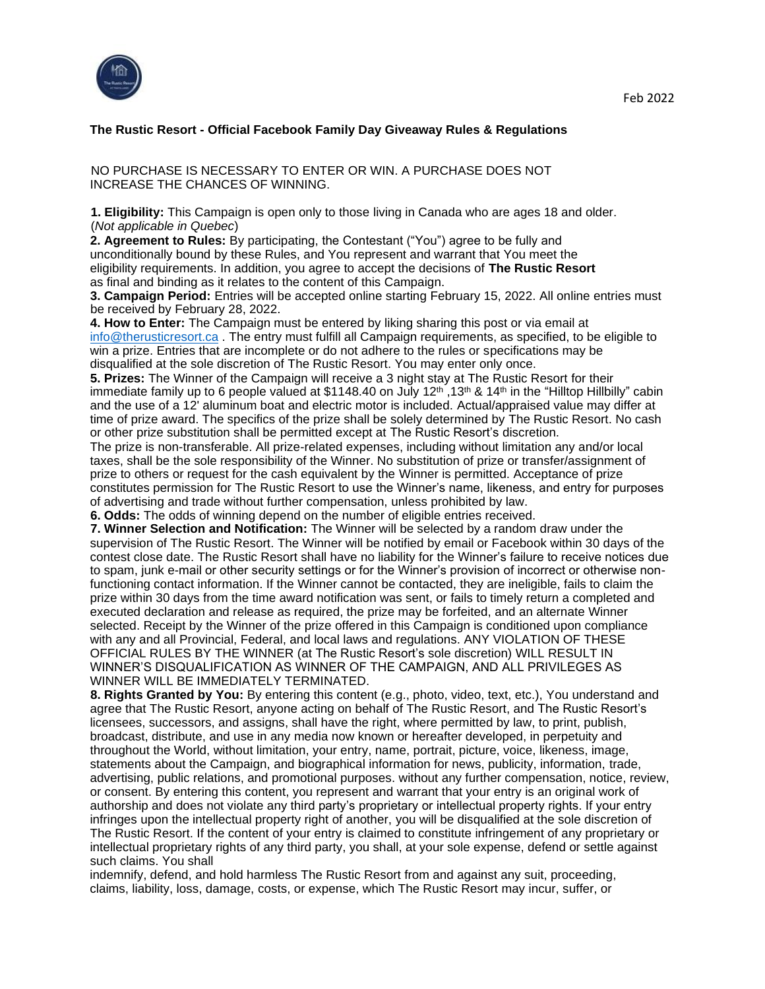

## **The Rustic Resort - Official Facebook Family Day Giveaway Rules & Regulations**

NO PURCHASE IS NECESSARY TO ENTER OR WIN. A PURCHASE DOES NOT INCREASE THE CHANCES OF WINNING.

**1. Eligibility:** This Campaign is open only to those living in Canada who are ages 18 and older. (*Not applicable in Quebec*)

**2. Agreement to Rules:** By participating, the Contestant ("You") agree to be fully and unconditionally bound by these Rules, and You represent and warrant that You meet the eligibility requirements. In addition, you agree to accept the decisions of **The Rustic Resort** as final and binding as it relates to the content of this Campaign.

**3. Campaign Period:** Entries will be accepted online starting February 15, 2022. All online entries must be received by February 28, 2022.

**4. How to Enter:** The Campaign must be entered by liking sharing this post or via email at info@therusticresort.ca . The entry must fulfill all Campaign requirements, as specified, to be eligible to win a prize. Entries that are incomplete or do not adhere to the rules or specifications may be disqualified at the sole discretion of The Rustic Resort. You may enter only once.

**5. Prizes:** The Winner of the Campaign will receive a 3 night stay at The Rustic Resort for their immediate family up to 6 people valued at \$1148.40 on July 12<sup>th</sup>, 13<sup>th</sup> & 14<sup>th</sup> in the "Hilltop Hillbilly" cabin and the use of a 12' aluminum boat and electric motor is included. Actual/appraised value may differ at time of prize award. The specifics of the prize shall be solely determined by The Rustic Resort. No cash or other prize substitution shall be permitted except at The Rustic Resort's discretion.

The prize is non-transferable. All prize-related expenses, including without limitation any and/or local taxes, shall be the sole responsibility of the Winner. No substitution of prize or transfer/assignment of prize to others or request for the cash equivalent by the Winner is permitted. Acceptance of prize constitutes permission for The Rustic Resort to use the Winner's name, likeness, and entry for purposes of advertising and trade without further compensation, unless prohibited by law.

**6. Odds:** The odds of winning depend on the number of eligible entries received.

**7. Winner Selection and Notification:** The Winner will be selected by a random draw under the supervision of The Rustic Resort. The Winner will be notified by email or Facebook within 30 days of the contest close date. The Rustic Resort shall have no liability for the Winner's failure to receive notices due to spam, junk e-mail or other security settings or for the Winner's provision of incorrect or otherwise nonfunctioning contact information. If the Winner cannot be contacted, they are ineligible, fails to claim the prize within 30 days from the time award notification was sent, or fails to timely return a completed and executed declaration and release as required, the prize may be forfeited, and an alternate Winner selected. Receipt by the Winner of the prize offered in this Campaign is conditioned upon compliance with any and all Provincial, Federal, and local laws and regulations. ANY VIOLATION OF THESE OFFICIAL RULES BY THE WINNER (at The Rustic Resort's sole discretion) WILL RESULT IN WINNER'S DISQUALIFICATION AS WINNER OF THE CAMPAIGN, AND ALL PRIVILEGES AS WINNER WILL BE IMMEDIATELY TERMINATED.

**8. Rights Granted by You:** By entering this content (e.g., photo, video, text, etc.), You understand and agree that The Rustic Resort, anyone acting on behalf of The Rustic Resort, and The Rustic Resort's licensees, successors, and assigns, shall have the right, where permitted by law, to print, publish, broadcast, distribute, and use in any media now known or hereafter developed, in perpetuity and throughout the World, without limitation, your entry, name, portrait, picture, voice, likeness, image, statements about the Campaign, and biographical information for news, publicity, information, trade, advertising, public relations, and promotional purposes. without any further compensation, notice, review, or consent. By entering this content, you represent and warrant that your entry is an original work of authorship and does not violate any third party's proprietary or intellectual property rights. If your entry infringes upon the intellectual property right of another, you will be disqualified at the sole discretion of The Rustic Resort. If the content of your entry is claimed to constitute infringement of any proprietary or intellectual proprietary rights of any third party, you shall, at your sole expense, defend or settle against such claims. You shall

indemnify, defend, and hold harmless The Rustic Resort from and against any suit, proceeding, claims, liability, loss, damage, costs, or expense, which The Rustic Resort may incur, suffer, or